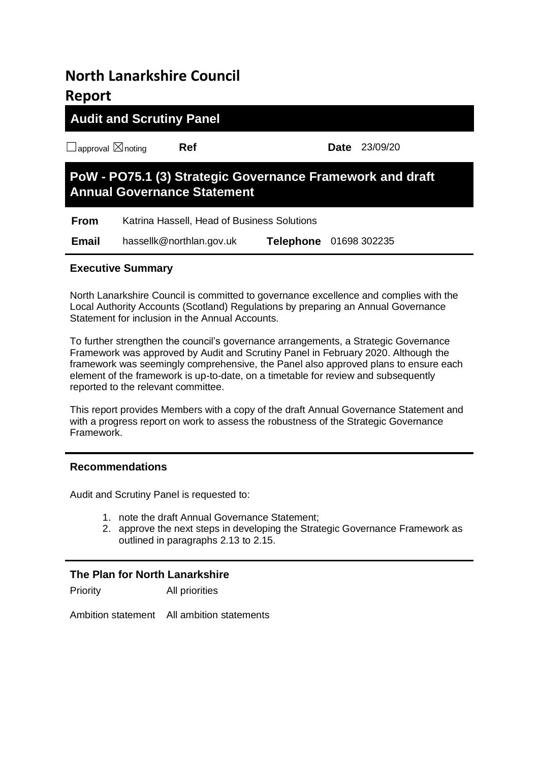# **North Lanarkshire Council Report**

# **Audit and Scrutiny Panel**

☐approval ☒noting **Ref Date** 23/09/20

# **PoW - PO75.1 (3) Strategic Governance Framework and draft Annual Governance Statement**

**From** Katrina Hassell, Head of Business Solutions  **Email** hassellk@northlan.gov.uk **Telephone** 01698 302235

## **Executive Summary**

North Lanarkshire Council is committed to governance excellence and complies with the Local Authority Accounts (Scotland) Regulations by preparing an Annual Governance Statement for inclusion in the Annual Accounts.

To further strengthen the council's governance arrangements, a Strategic Governance Framework was approved by Audit and Scrutiny Panel in February 2020. Although the framework was seemingly comprehensive, the Panel also approved plans to ensure each element of the framework is up-to-date, on a timetable for review and subsequently reported to the relevant committee.

This report provides Members with a copy of the draft Annual Governance Statement and with a progress report on work to assess the robustness of the Strategic Governance Framework.

## **Recommendations**

Audit and Scrutiny Panel is requested to:

- 1. note the draft Annual Governance Statement;
- 2. approve the next steps in developing the Strategic Governance Framework as outlined in paragraphs 2.13 to 2.15.

# **The Plan for North Lanarkshire**

Priority All priorities

Ambition statement All ambition statements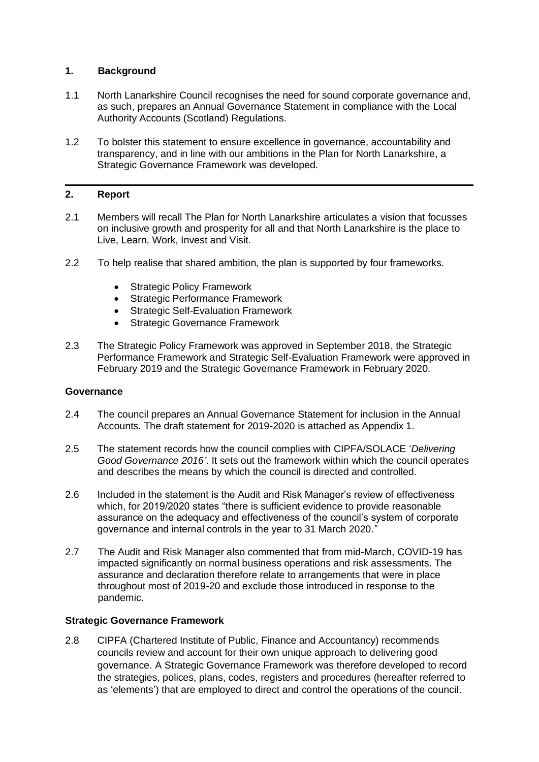#### **1. Background**

- 1.1 North Lanarkshire Council recognises the need for sound corporate governance and, as such, prepares an Annual Governance Statement in compliance with the Local Authority Accounts (Scotland) Regulations.
- 1.2 To bolster this statement to ensure excellence in governance, accountability and transparency, and in line with our ambitions in the Plan for North Lanarkshire, a Strategic Governance Framework was developed.

#### **2. Report**

- 2.1 Members will recall The Plan for North Lanarkshire articulates a vision that focusses on inclusive growth and prosperity for all and that North Lanarkshire is the place to Live, Learn, Work, Invest and Visit.
- 2.2 To help realise that shared ambition, the plan is supported by four frameworks.
	- **Strategic Policy Framework**
	- Strategic Performance Framework
	- Strategic Self-Evaluation Framework
	- **Strategic Governance Framework**
- 2.3 The Strategic Policy Framework was approved in September 2018, the Strategic Performance Framework and Strategic Self-Evaluation Framework were approved in February 2019 and the Strategic Governance Framework in February 2020.

#### **Governance**

- 2.4 The council prepares an Annual Governance Statement for inclusion in the Annual Accounts. The draft statement for 2019-2020 is attached as Appendix 1.
- 2.5 The statement records how the council complies with CIPFA/SOLACE '*Delivering Good Governance 2016'*. It sets out the framework within which the council operates and describes the means by which the council is directed and controlled.
- 2.6 Included in the statement is the Audit and Risk Manager's review of effectiveness which, for 2019/2020 states "there is sufficient evidence to provide reasonable assurance on the adequacy and effectiveness of the council's system of corporate governance and internal controls in the year to 31 March 2020."
- 2.7 The Audit and Risk Manager also commented that from mid-March, COVID-19 has impacted significantly on normal business operations and risk assessments. The assurance and declaration therefore relate to arrangements that were in place throughout most of 2019-20 and exclude those introduced in response to the pandemic.

#### **Strategic Governance Framework**

2.8 CIPFA (Chartered Institute of Public, Finance and Accountancy) recommends councils review and account for their own unique approach to delivering good governance. A Strategic Governance Framework was therefore developed to record the strategies, polices, plans, codes, registers and procedures (hereafter referred to as 'elements') that are employed to direct and control the operations of the council.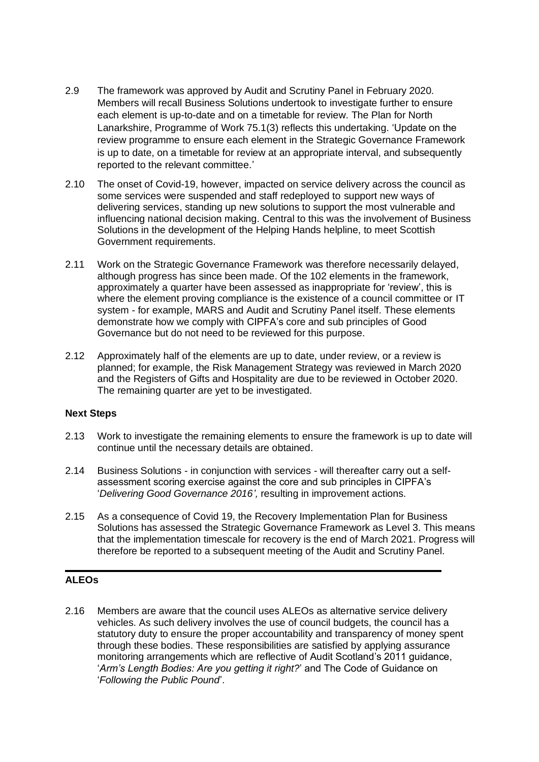- 2.9 The framework was approved by Audit and Scrutiny Panel in February 2020. Members will recall Business Solutions undertook to investigate further to ensure each element is up-to-date and on a timetable for review. The Plan for North Lanarkshire, Programme of Work 75.1(3) reflects this undertaking. 'Update on the review programme to ensure each element in the Strategic Governance Framework is up to date, on a timetable for review at an appropriate interval, and subsequently reported to the relevant committee.'
- 2.10 The onset of Covid-19, however, impacted on service delivery across the council as some services were suspended and staff redeployed to support new ways of delivering services, standing up new solutions to support the most vulnerable and influencing national decision making. Central to this was the involvement of Business Solutions in the development of the Helping Hands helpline, to meet Scottish Government requirements.
- 2.11 Work on the Strategic Governance Framework was therefore necessarily delayed, although progress has since been made. Of the 102 elements in the framework, approximately a quarter have been assessed as inappropriate for 'review', this is where the element proving compliance is the existence of a council committee or IT system - for example, MARS and Audit and Scrutiny Panel itself. These elements demonstrate how we comply with CIPFA's core and sub principles of Good Governance but do not need to be reviewed for this purpose.
- 2.12 Approximately half of the elements are up to date, under review, or a review is planned; for example, the Risk Management Strategy was reviewed in March 2020 and the Registers of Gifts and Hospitality are due to be reviewed in October 2020. The remaining quarter are yet to be investigated.

#### **Next Steps**

- 2.13 Work to investigate the remaining elements to ensure the framework is up to date will continue until the necessary details are obtained.
- 2.14 Business Solutions in conjunction with services will thereafter carry out a selfassessment scoring exercise against the core and sub principles in CIPFA's '*Delivering Good Governance 2016',* resulting in improvement actions.
- 2.15 As a consequence of Covid 19, the Recovery Implementation Plan for Business Solutions has assessed the Strategic Governance Framework as Level 3. This means that the implementation timescale for recovery is the end of March 2021. Progress will therefore be reported to a subsequent meeting of the Audit and Scrutiny Panel.

#### **ALEOs**

2.16 Members are aware that the council uses ALEOs as alternative service delivery vehicles. As such delivery involves the use of council budgets, the council has a statutory duty to ensure the proper accountability and transparency of money spent through these bodies. These responsibilities are satisfied by applying assurance monitoring arrangements which are reflective of Audit Scotland's 2011 guidance, '*Arm's Length Bodies: Are you getting it right?*' and The Code of Guidance on '*Following the Public Pound*'.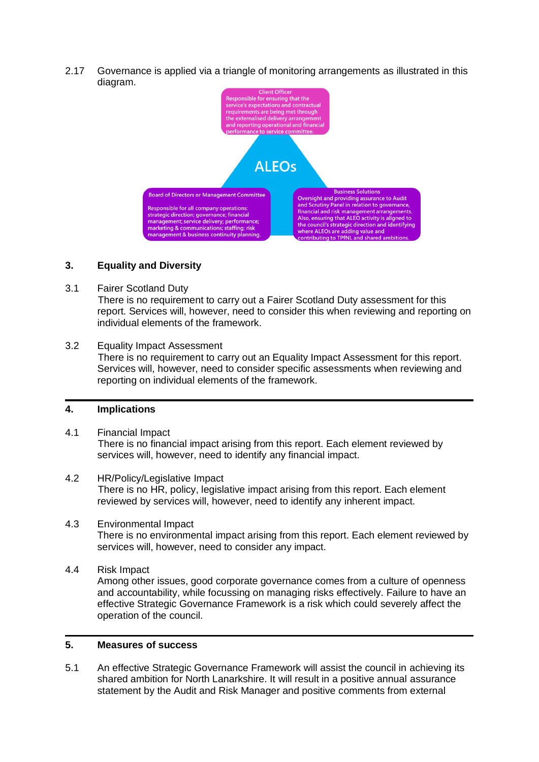2.17 Governance is applied via a triangle of monitoring arrangements as illustrated in this diagram.



#### **3. Equality and Diversity**

3.1 Fairer Scotland Duty

There is no requirement to carry out a Fairer Scotland Duty assessment for this report. Services will, however, need to consider this when reviewing and reporting on individual elements of the framework.

3.2 Equality Impact Assessment There is no requirement to carry out an Equality Impact Assessment for this report. Services will, however, need to consider specific assessments when reviewing and reporting on individual elements of the framework.

#### **4. Implications**

- 4.1 Financial Impact There is no financial impact arising from this report. Each element reviewed by services will, however, need to identify any financial impact.
- 4.2 HR/Policy/Legislative Impact There is no HR, policy, legislative impact arising from this report. Each element reviewed by services will, however, need to identify any inherent impact.
- 4.3 Environmental Impact There is no environmental impact arising from this report. Each element reviewed by services will, however, need to consider any impact.
- 4.4 Risk Impact

Among other issues, good corporate governance comes from a culture of openness and accountability, while focussing on managing risks effectively. Failure to have an effective Strategic Governance Framework is a risk which could severely affect the operation of the council.

#### **5. Measures of success**

5.1 An effective Strategic Governance Framework will assist the council in achieving its shared ambition for North Lanarkshire. It will result in a positive annual assurance statement by the Audit and Risk Manager and positive comments from external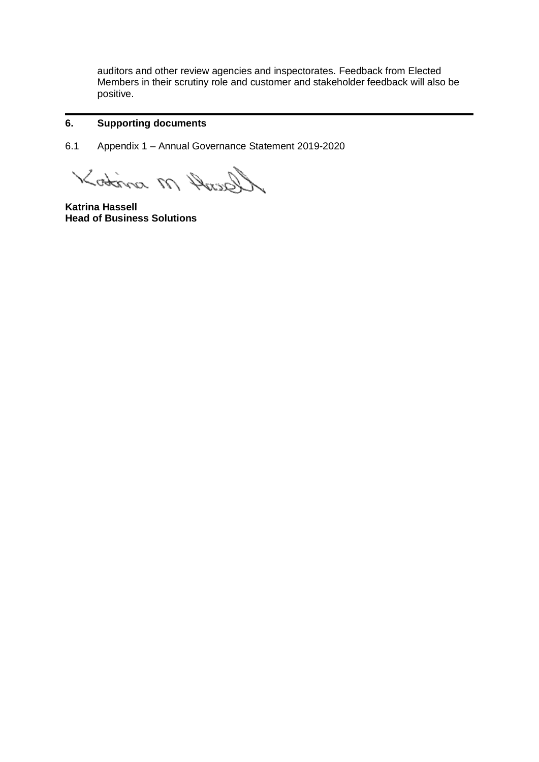auditors and other review agencies and inspectorates. Feedback from Elected Members in their scrutiny role and customer and stakeholder feedback will also be positive.

#### **6. Supporting documents**

6.1 Appendix 1 – Annual Governance Statement 2019-2020

Gently M sintos

**Katrina Hassell Head of Business Solutions**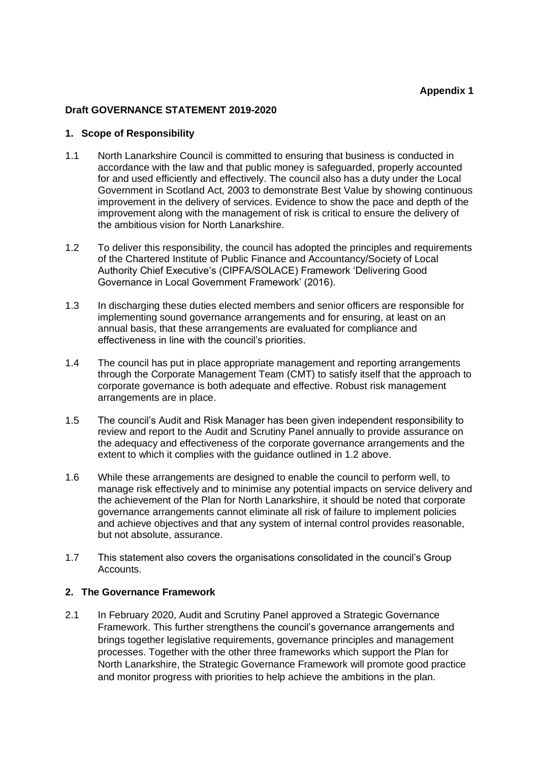#### **Draft GOVERNANCE STATEMENT 2019-2020**

#### **1. Scope of Responsibility**

- 1.1 North Lanarkshire Council is committed to ensuring that business is conducted in accordance with the law and that public money is safeguarded, properly accounted for and used efficiently and effectively. The council also has a duty under the Local Government in Scotland Act, 2003 to demonstrate Best Value by showing continuous improvement in the delivery of services. Evidence to show the pace and depth of the improvement along with the management of risk is critical to ensure the delivery of the ambitious vision for North Lanarkshire.
- 1.2 To deliver this responsibility, the council has adopted the principles and requirements of the Chartered Institute of Public Finance and Accountancy/Society of Local Authority Chief Executive's (CIPFA/SOLACE) Framework 'Delivering Good Governance in Local Government Framework' (2016).
- 1.3 In discharging these duties elected members and senior officers are responsible for implementing sound governance arrangements and for ensuring, at least on an annual basis, that these arrangements are evaluated for compliance and effectiveness in line with the council's priorities.
- 1.4 The council has put in place appropriate management and reporting arrangements through the Corporate Management Team (CMT) to satisfy itself that the approach to corporate governance is both adequate and effective. Robust risk management arrangements are in place.
- 1.5 The council's Audit and Risk Manager has been given independent responsibility to review and report to the Audit and Scrutiny Panel annually to provide assurance on the adequacy and effectiveness of the corporate governance arrangements and the extent to which it complies with the guidance outlined in 1.2 above.
- 1.6 While these arrangements are designed to enable the council to perform well, to manage risk effectively and to minimise any potential impacts on service delivery and the achievement of the Plan for North Lanarkshire, it should be noted that corporate governance arrangements cannot eliminate all risk of failure to implement policies and achieve objectives and that any system of internal control provides reasonable, but not absolute, assurance.
- 1.7 This statement also covers the organisations consolidated in the council's Group Accounts.

#### **2. The Governance Framework**

2.1 In February 2020, Audit and Scrutiny Panel approved a Strategic Governance Framework. This further strengthens the council's governance arrangements and brings together legislative requirements, governance principles and management processes. Together with the other three frameworks which support the Plan for North Lanarkshire, the Strategic Governance Framework will promote good practice and monitor progress with priorities to help achieve the ambitions in the plan.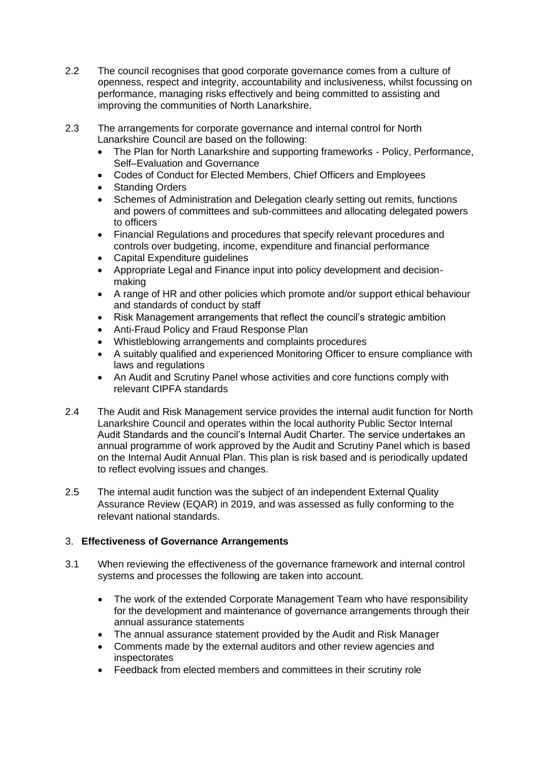- 2.2 The council recognises that good corporate governance comes from a culture of openness, respect and integrity, accountability and inclusiveness, whilst focussing on performance, managing risks effectively and being committed to assisting and improving the communities of North Lanarkshire.
- 2.3 The arrangements for corporate governance and internal control for North Lanarkshire Council are based on the following:
	- The Plan for North Lanarkshire and supporting frameworks Policy, Performance, Self–Evaluation and Governance
	- Codes of Conduct for Elected Members, Chief Officers and Employees
	- Standing Orders
	- Schemes of Administration and Delegation clearly setting out remits, functions and powers of committees and sub-committees and allocating delegated powers to officers
	- Financial Regulations and procedures that specify relevant procedures and controls over budgeting, income, expenditure and financial performance
	- Capital Expenditure guidelines
	- Appropriate Legal and Finance input into policy development and decisionmaking
	- A range of HR and other policies which promote and/or support ethical behaviour and standards of conduct by staff
	- Risk Management arrangements that reflect the council's strategic ambition
	- Anti-Fraud Policy and Fraud Response Plan
	- Whistleblowing arrangements and complaints procedures
	- A suitably qualified and experienced Monitoring Officer to ensure compliance with laws and regulations
	- An Audit and Scrutiny Panel whose activities and core functions comply with relevant CIPFA standards
- 2.4 The Audit and Risk Management service provides the internal audit function for North Lanarkshire Council and operates within the local authority Public Sector Internal Audit Standards and the council's Internal Audit Charter. The service undertakes an annual programme of work approved by the Audit and Scrutiny Panel which is based on the Internal Audit Annual Plan. This plan is risk based and is periodically updated to reflect evolving issues and changes.
- 2.5 The internal audit function was the subject of an independent External Quality Assurance Review (EQAR) in 2019, and was assessed as fully conforming to the relevant national standards.

## 3. **Effectiveness of Governance Arrangements**

- 3.1 When reviewing the effectiveness of the governance framework and internal control systems and processes the following are taken into account.
	- The work of the extended Corporate Management Team who have responsibility for the development and maintenance of governance arrangements through their annual assurance statements
	- The annual assurance statement provided by the Audit and Risk Manager
	- Comments made by the external auditors and other review agencies and inspectorates
	- Feedback from elected members and committees in their scrutiny role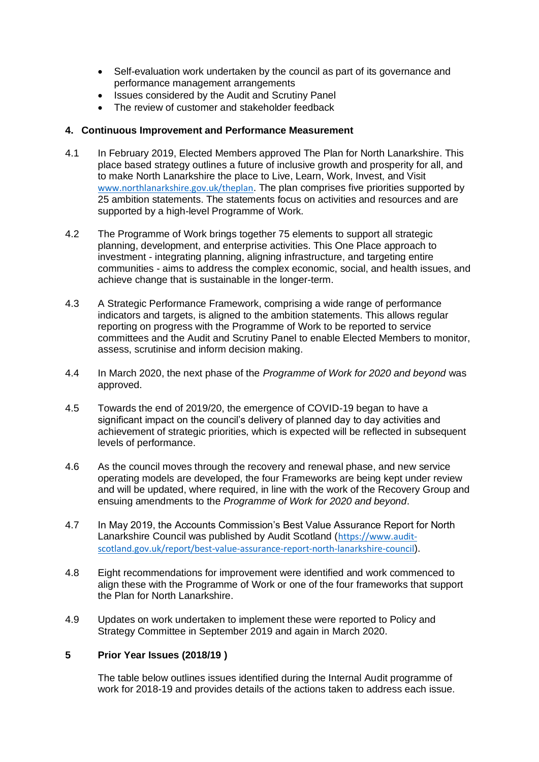- Self-evaluation work undertaken by the council as part of its governance and performance management arrangements
- Issues considered by the Audit and Scrutiny Panel
- The review of customer and stakeholder feedback

#### **4. Continuous Improvement and Performance Measurement**

- 4.1 In February 2019, Elected Members approved The Plan for North Lanarkshire. This place based strategy outlines a future of inclusive growth and prosperity for all, and to make North Lanarkshire the place to Live, Learn, Work, Invest, and Visit [www.northlanarkshire.gov.uk/theplan](http://www.northlanarkshire.gov.uk/theplan). The plan comprises five priorities supported by 25 ambition statements. The statements focus on activities and resources and are supported by a high-level Programme of Work.
- 4.2 The Programme of Work brings together 75 elements to support all strategic planning, development, and enterprise activities. This One Place approach to investment - integrating planning, aligning infrastructure, and targeting entire communities - aims to address the complex economic, social, and health issues, and achieve change that is sustainable in the longer-term.
- 4.3 A Strategic Performance Framework, comprising a wide range of performance indicators and targets, is aligned to the ambition statements. This allows regular reporting on progress with the Programme of Work to be reported to service committees and the Audit and Scrutiny Panel to enable Elected Members to monitor, assess, scrutinise and inform decision making.
- 4.4 In March 2020, the next phase of the *Programme of Work for 2020 and beyond* was approved.
- 4.5 Towards the end of 2019/20, the emergence of COVID-19 began to have a significant impact on the council's delivery of planned day to day activities and achievement of strategic priorities, which is expected will be reflected in subsequent levels of performance.
- 4.6 As the council moves through the recovery and renewal phase, and new service operating models are developed, the four Frameworks are being kept under review and will be updated, where required, in line with the work of the Recovery Group and ensuing amendments to the *Programme of Work for 2020 and beyond*.
- 4.7 In May 2019, the Accounts Commission's Best Value Assurance Report for North Lanarkshire Council was published by Audit Scotland ([https://www.audit](https://www.audit-scotland.gov.uk/report/best-value-assurance-report-north-lanarkshire-council)[scotland.gov.uk/report/best-value-assurance-report-north-lanarkshire-council](https://www.audit-scotland.gov.uk/report/best-value-assurance-report-north-lanarkshire-council)).
- 4.8 Eight recommendations for improvement were identified and work commenced to align these with the Programme of Work or one of the four frameworks that support the Plan for North Lanarkshire.
- 4.9 Updates on work undertaken to implement these were reported to Policy and Strategy Committee in September 2019 and again in March 2020.

#### **5 Prior Year Issues (2018/19 )**

The table below outlines issues identified during the Internal Audit programme of work for 2018-19 and provides details of the actions taken to address each issue.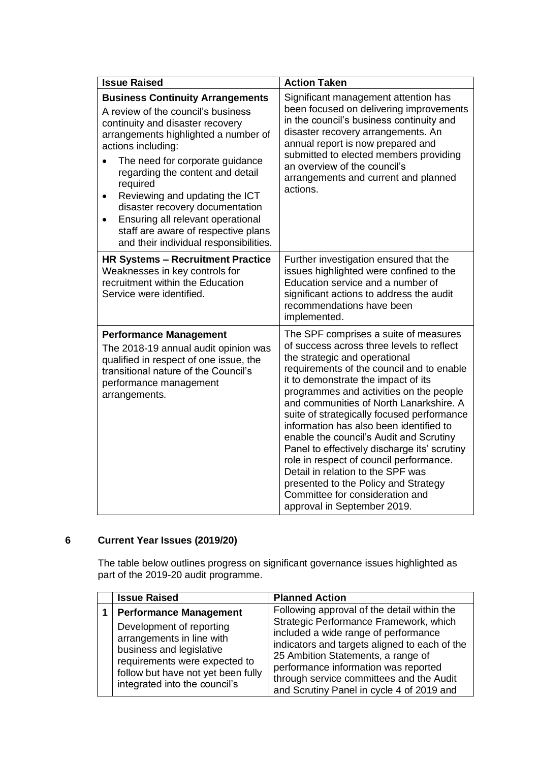| <b>Issue Raised</b>                                                                                                                                                                                                                                                                                                                                                                                                                                                     | <b>Action Taken</b>                                                                                                                                                                                                                                                                                                                                                                                                                                                                                                                                                                                                                                                         |
|-------------------------------------------------------------------------------------------------------------------------------------------------------------------------------------------------------------------------------------------------------------------------------------------------------------------------------------------------------------------------------------------------------------------------------------------------------------------------|-----------------------------------------------------------------------------------------------------------------------------------------------------------------------------------------------------------------------------------------------------------------------------------------------------------------------------------------------------------------------------------------------------------------------------------------------------------------------------------------------------------------------------------------------------------------------------------------------------------------------------------------------------------------------------|
| <b>Business Continuity Arrangements</b><br>A review of the council's business<br>continuity and disaster recovery<br>arrangements highlighted a number of<br>actions including:<br>The need for corporate guidance<br>regarding the content and detail<br>required<br>Reviewing and updating the ICT<br>٠<br>disaster recovery documentation<br>Ensuring all relevant operational<br>٠<br>staff are aware of respective plans<br>and their individual responsibilities. | Significant management attention has<br>been focused on delivering improvements<br>in the council's business continuity and<br>disaster recovery arrangements. An<br>annual report is now prepared and<br>submitted to elected members providing<br>an overview of the council's<br>arrangements and current and planned<br>actions.                                                                                                                                                                                                                                                                                                                                        |
| <b>HR Systems - Recruitment Practice</b><br>Weaknesses in key controls for<br>recruitment within the Education<br>Service were identified.                                                                                                                                                                                                                                                                                                                              | Further investigation ensured that the<br>issues highlighted were confined to the<br>Education service and a number of<br>significant actions to address the audit<br>recommendations have been<br>implemented.                                                                                                                                                                                                                                                                                                                                                                                                                                                             |
| <b>Performance Management</b><br>The 2018-19 annual audit opinion was<br>qualified in respect of one issue, the<br>transitional nature of the Council's<br>performance management<br>arrangements.                                                                                                                                                                                                                                                                      | The SPF comprises a suite of measures<br>of success across three levels to reflect<br>the strategic and operational<br>requirements of the council and to enable<br>it to demonstrate the impact of its<br>programmes and activities on the people<br>and communities of North Lanarkshire. A<br>suite of strategically focused performance<br>information has also been identified to<br>enable the council's Audit and Scrutiny<br>Panel to effectively discharge its' scrutiny<br>role in respect of council performance.<br>Detail in relation to the SPF was<br>presented to the Policy and Strategy<br>Committee for consideration and<br>approval in September 2019. |

# **6 Current Year Issues (2019/20)**

The table below outlines progress on significant governance issues highlighted as part of the 2019-20 audit programme.

| <b>Issue Raised</b>                                                                                                                                                                                                        | <b>Planned Action</b>                                                                                                                                                                                                                                                                                                                                 |
|----------------------------------------------------------------------------------------------------------------------------------------------------------------------------------------------------------------------------|-------------------------------------------------------------------------------------------------------------------------------------------------------------------------------------------------------------------------------------------------------------------------------------------------------------------------------------------------------|
| <b>Performance Management</b><br>Development of reporting<br>arrangements in line with<br>business and legislative<br>requirements were expected to<br>follow but have not yet been fully<br>integrated into the council's | Following approval of the detail within the<br>Strategic Performance Framework, which<br>included a wide range of performance<br>indicators and targets aligned to each of the<br>25 Ambition Statements, a range of<br>performance information was reported<br>through service committees and the Audit<br>and Scrutiny Panel in cycle 4 of 2019 and |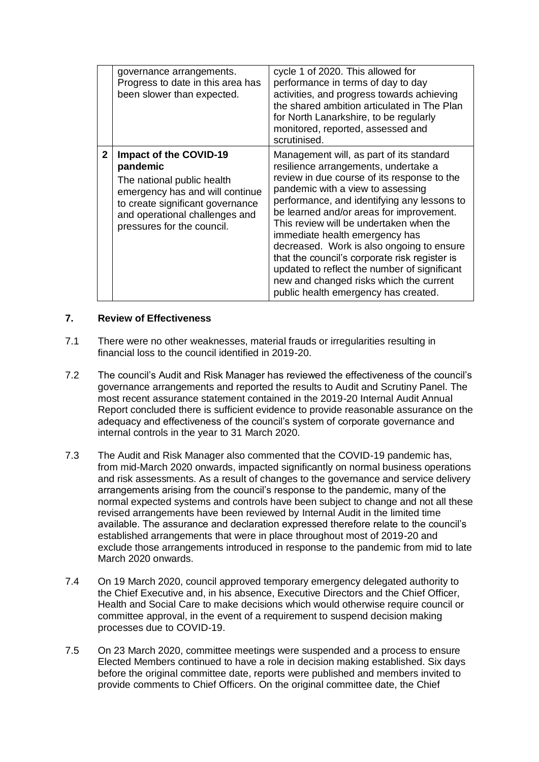|              | governance arrangements.<br>Progress to date in this area has<br>been slower than expected.                                                                                                             | cycle 1 of 2020. This allowed for<br>performance in terms of day to day<br>activities, and progress towards achieving<br>the shared ambition articulated in The Plan<br>for North Lanarkshire, to be regularly<br>monitored, reported, assessed and<br>scrutinised.                                                                                                                                                                                                                                                                                                           |
|--------------|---------------------------------------------------------------------------------------------------------------------------------------------------------------------------------------------------------|-------------------------------------------------------------------------------------------------------------------------------------------------------------------------------------------------------------------------------------------------------------------------------------------------------------------------------------------------------------------------------------------------------------------------------------------------------------------------------------------------------------------------------------------------------------------------------|
| $\mathbf{2}$ | Impact of the COVID-19<br>pandemic<br>The national public health<br>emergency has and will continue<br>to create significant governance<br>and operational challenges and<br>pressures for the council. | Management will, as part of its standard<br>resilience arrangements, undertake a<br>review in due course of its response to the<br>pandemic with a view to assessing<br>performance, and identifying any lessons to<br>be learned and/or areas for improvement.<br>This review will be undertaken when the<br>immediate health emergency has<br>decreased. Work is also ongoing to ensure<br>that the council's corporate risk register is<br>updated to reflect the number of significant<br>new and changed risks which the current<br>public health emergency has created. |

#### **7. Review of Effectiveness**

- 7.1 There were no other weaknesses, material frauds or irregularities resulting in financial loss to the council identified in 2019-20.
- 7.2 The council's Audit and Risk Manager has reviewed the effectiveness of the council's governance arrangements and reported the results to Audit and Scrutiny Panel. The most recent assurance statement contained in the 2019-20 Internal Audit Annual Report concluded there is sufficient evidence to provide reasonable assurance on the adequacy and effectiveness of the council's system of corporate governance and internal controls in the year to 31 March 2020.
- 7.3 The Audit and Risk Manager also commented that the COVID-19 pandemic has, from mid-March 2020 onwards, impacted significantly on normal business operations and risk assessments. As a result of changes to the governance and service delivery arrangements arising from the council's response to the pandemic, many of the normal expected systems and controls have been subject to change and not all these revised arrangements have been reviewed by Internal Audit in the limited time available. The assurance and declaration expressed therefore relate to the council's established arrangements that were in place throughout most of 2019-20 and exclude those arrangements introduced in response to the pandemic from mid to late March 2020 onwards.
- 7.4 On 19 March 2020, council approved temporary emergency delegated authority to the Chief Executive and, in his absence, Executive Directors and the Chief Officer, Health and Social Care to make decisions which would otherwise require council or committee approval, in the event of a requirement to suspend decision making processes due to COVID-19.
- 7.5 On 23 March 2020, committee meetings were suspended and a process to ensure Elected Members continued to have a role in decision making established. Six days before the original committee date, reports were published and members invited to provide comments to Chief Officers. On the original committee date, the Chief